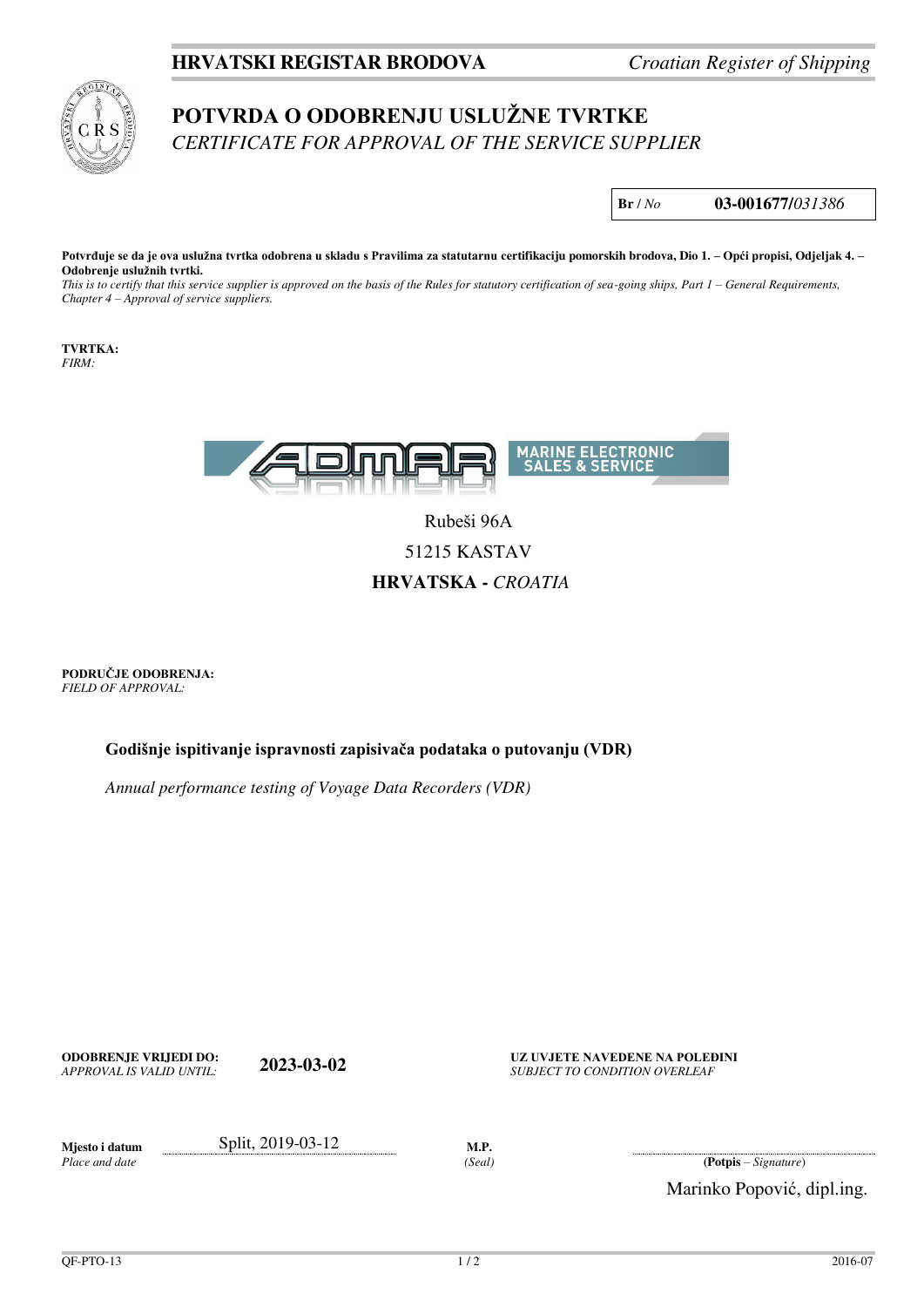## **HRVATSKI REGISTAR BRODOVA** *Croatian Register of Shipping*



## **POTVRDA O ODOBRENJU USLUŽNE TVRTKE** *CERTIFICATE FOR APPROVAL OF THE SERVICE SUPPLIER*

**Br** / *No* **03-001677/***031386*

**Potvrđuje se da je ova uslužna tvrtka odobrena u skladu s Pravilima za statutarnu certifikaciju pomorskih brodova, Dio 1. – Opći propisi, Odjeljak 4. – Odobrenje uslužnih tvrtki.**

*This is to certify that this service supplier is approved on the basis of the Rules for statutory certification of sea-going ships, Part 1 – General Requirements, Chapter 4 – Approval of service suppliers.*

**TVRTKA:**  *FIRM:* 



Rubeši 96A 51215 KASTAV **HRVATSKA -** *CROATIA*

**PODRUČJE ODOBRENJA:** *FIELD OF APPROVAL:* 

**Godišnje ispitivanje ispravnosti zapisivača podataka o putovanju (VDR)**

*Annual performance testing of Voyage Data Recorders (VDR)*

**ODOBRENJE VRIJEDI DO: 2023-03-02 UZ UVJETE NAVEDENE NA POLEĐINI**<br>*APPROVAL IS VALID UNTIL:* **2023-03-02** *SUBJECT TO CONDITION OVERLEAF* **SUBJECT TO CONDITION OVERLEAF** 

*Place and date* 

**Mjesto i datum** Split, 2019-03-12 **M.P.** 

*(Seal)* **(Potpis** – *Signature*)

Marinko Popović, dipl.ing.